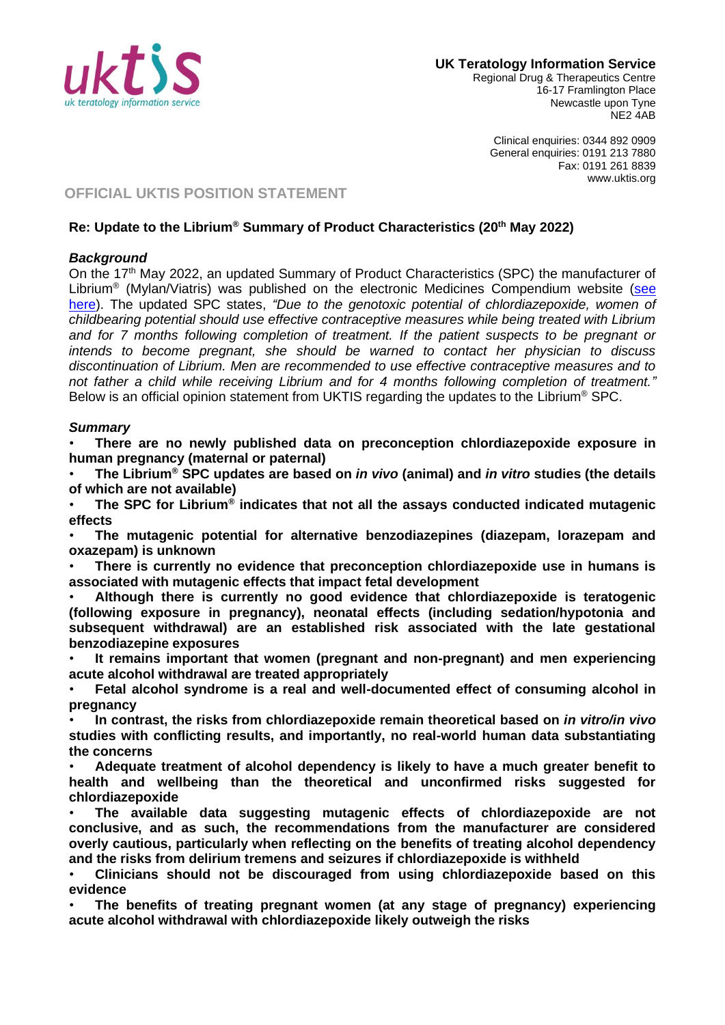

Regional Drug & Therapeutics Centre 16-17 Framlington Place Newcastle upon Tyne NE2 4AB

> Clinical enquiries: 0344 892 0909 General enquiries: 0191 213 7880 Fax: 0191 261 8839 www.uktis.org

# **OFFICIAL UKTIS POSITION STATEMENT**

### **Re: Update to the Librium® Summary of Product Characteristics (20th May 2022)**

### *Background*

On the 17th May 2022, an updated Summary of Product Characteristics (SPC) the manufacturer of Librium<sup>®</sup> (Mylan/Viatris) was published on the electronic Medicines Compendium website (see here). The updated SPC states, *"Due to the genotoxic potential of chlordiazepoxide, women of childbearing potential should use effective contraceptive measures while being treated with Librium and for 7 months following completion of treatment. If the patient suspects to be pregnant or intends to become pregnant, she should be warned to contact her physician to discuss discontinuation of Librium. Men are recommended to use effective contraceptive measures and to not father a child while receiving Librium and for 4 months following completion of treatment."* Below is an official opinion statement from UKTIS regarding the updates to the Librium® SPC.

#### *Summary*

• **There are no newly published data on preconception chlordiazepoxide exposure in human pregnancy (maternal or paternal)**

• **The Librium® SPC updates are based on** *in vivo* **(animal) and** *in vitro* **studies (the details of which are not available)**

• **The SPC for Librium® indicates that not all the assays conducted indicated mutagenic effects**

• **The mutagenic potential for alternative benzodiazepines (diazepam, lorazepam and oxazepam) is unknown**

• **There is currently no evidence that preconception chlordiazepoxide use in humans is associated with mutagenic effects that impact fetal development**

• **Although there is currently no good evidence that chlordiazepoxide is teratogenic (following exposure in pregnancy), neonatal effects (including sedation/hypotonia and subsequent withdrawal) are an established risk associated with the late gestational benzodiazepine exposures**

• **It remains important that women (pregnant and non-pregnant) and men experiencing acute alcohol withdrawal are treated appropriately**

• **Fetal alcohol syndrome is a real and well-documented effect of consuming alcohol in pregnancy**

• **In contrast, the risks from chlordiazepoxide remain theoretical based on** *in vitro/in vivo* **studies with conflicting results, and importantly, no real-world human data substantiating the concerns**

• **Adequate treatment of alcohol dependency is likely to have a much greater benefit to health and wellbeing than the theoretical and unconfirmed risks suggested for chlordiazepoxide**

• **The available data suggesting mutagenic effects of chlordiazepoxide are not conclusive, and as such, the recommendations from the manufacturer are considered overly cautious, particularly when reflecting on the benefits of treating alcohol dependency and the risks from delirium tremens and seizures if chlordiazepoxide is withheld**

• **Clinicians should not be discouraged from using chlordiazepoxide based on this evidence**

• **The benefits of treating pregnant women (at any stage of pregnancy) experiencing acute alcohol withdrawal with chlordiazepoxide likely outweigh the risks**